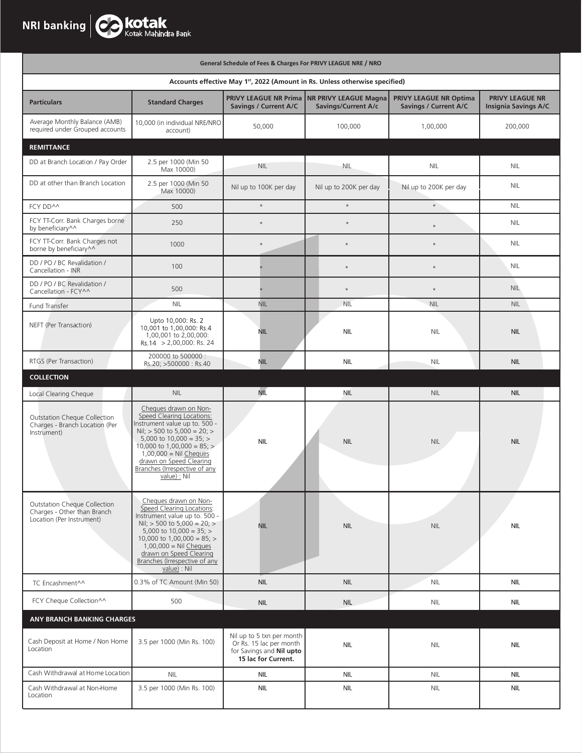|                                                                                          |                                                                                                                                                                                                                                                                                           | General Schedule of Fees & Charges For PRIVY LEAGUE NRE / NRO                                           |                                                     |                                                               |                                                |
|------------------------------------------------------------------------------------------|-------------------------------------------------------------------------------------------------------------------------------------------------------------------------------------------------------------------------------------------------------------------------------------------|---------------------------------------------------------------------------------------------------------|-----------------------------------------------------|---------------------------------------------------------------|------------------------------------------------|
| Accounts effective May 1st, 2022 (Amount in Rs. Unless otherwise specified)              |                                                                                                                                                                                                                                                                                           |                                                                                                         |                                                     |                                                               |                                                |
| <b>Particulars</b>                                                                       | <b>Standard Charges</b>                                                                                                                                                                                                                                                                   | PRIVY LEAGUE NR Prima<br>Savings / Current A/C                                                          | <b>NR PRIVY LEAGUE Magna</b><br>Savings/Current A/c | <b>PRIVY LEAGUE NR Optima</b><br><b>Savings / Current A/C</b> | PRIVY LEAGUE NR<br><b>Insignia Savings A/C</b> |
| Average Monthly Balance (AMB)<br>required under Grouped accounts                         | 10,000 (in individual NRE/NRO<br>account)                                                                                                                                                                                                                                                 | 50,000                                                                                                  | 100,000                                             | 1,00,000                                                      | 200,000                                        |
| <b>REMITTANCE</b>                                                                        |                                                                                                                                                                                                                                                                                           |                                                                                                         |                                                     |                                                               |                                                |
| DD at Branch Location / Pay Order                                                        | 2.5 per 1000 (Min 50<br>Max 10000)                                                                                                                                                                                                                                                        | <b>NIL</b>                                                                                              | <b>NIL</b>                                          | NIL                                                           | <b>NIL</b>                                     |
| DD at other than Branch Location                                                         | 2.5 per 1000 (Min 50<br>Max 10000)                                                                                                                                                                                                                                                        | Nil up to 100K per day                                                                                  | Nil up to 200K per day                              | Nil up to 200K per day                                        | NIL                                            |
| FCY DD^^                                                                                 | 500                                                                                                                                                                                                                                                                                       | $\star$                                                                                                 | $\star$                                             | $^\star$                                                      | <b>NIL</b>                                     |
| FCY TT-Corr. Bank Charges borne<br>by beneficiary^^                                      | 250                                                                                                                                                                                                                                                                                       | $\star$                                                                                                 | $\star$                                             | $\star$                                                       | <b>NIL</b>                                     |
| FCY TT-Corr. Bank Charges not<br>borne by beneficiary^^                                  | 1000                                                                                                                                                                                                                                                                                      | $\star$                                                                                                 | $\star$                                             | $\star$                                                       | <b>NIL</b>                                     |
| DD / PO / BC Revalidation /<br>Cancellation - INR                                        | 100                                                                                                                                                                                                                                                                                       |                                                                                                         | $\star$                                             | $\star$                                                       | NIL                                            |
| DD / PO / BC Revalidation /<br>Cancellation - FCY^^                                      | 500                                                                                                                                                                                                                                                                                       |                                                                                                         | $\star$                                             | $\star$                                                       | <b>NIL</b>                                     |
| Fund Transfer                                                                            | <b>NIL</b>                                                                                                                                                                                                                                                                                | <b>NIL</b>                                                                                              | <b>NIL</b>                                          | <b>NIL</b>                                                    | <b>NIL</b>                                     |
| NEFT (Per Transaction)                                                                   | Upto 10,000: Rs. 2<br>10,001 to 1,00,000: Rs.4<br>1,00,001 to 2,00,000:<br>Rs.14 > 2,00,000: Rs. 24                                                                                                                                                                                       | <b>NIL</b>                                                                                              | <b>NIL</b>                                          | <b>NIL</b>                                                    | <b>NIL</b>                                     |
| RTGS (Per Transaction)                                                                   | 200000 to 500000 :<br>Rs.20; >500000: Rs.40                                                                                                                                                                                                                                               | <b>NIL</b>                                                                                              | <b>NIL</b>                                          | <b>NIL</b>                                                    | <b>NIL</b>                                     |
| <b>COLLECTION</b>                                                                        |                                                                                                                                                                                                                                                                                           |                                                                                                         |                                                     |                                                               |                                                |
| Local Clearing Cheque                                                                    | <b>NIL</b>                                                                                                                                                                                                                                                                                | NIL                                                                                                     | <b>NIL</b>                                          | <b>NIL</b>                                                    | <b>NIL</b>                                     |
| <b>Outstation Cheque Collection</b><br>Charges - Branch Location (Per<br>Instrument)     | Cheques drawn on Non-<br>Speed Clearing Locations:<br>Instrument value up to. 500 -<br>Nil; > 500 to 5,000 = 20; ><br>5,000 to $10,000 = 35$ ; ><br>10,000 to 1,00,000 = $85$ ; ><br>$1,00,000 =$ Nil Cheques<br>drawn on Speed Clearing<br>Branches (Irrespective of any<br>value) : Nil | <b>NIL</b>                                                                                              | <b>NIL</b>                                          | <b>NIL</b>                                                    | <b>NIL</b>                                     |
| Outstation Cheque Collection<br>Charges - Other than Branch<br>Location (Per Instrument) | Cheques drawn on Non-<br>Speed Clearing Locations:<br>Instrument value up to. 500 -<br>Nil; > 500 to 5,000 = 20; ><br>5,000 to $10,000 = 35$ ; ><br>10,000 to 1,00,000 = $85$ ; ><br>$1,00,000 =$ Nil Cheques<br>drawn on Speed Clearing<br>Branches (Irrespective of any<br>value) : Nil | <b>NIL</b>                                                                                              | <b>NIL</b>                                          | <b>NIL</b>                                                    | <b>NIL</b>                                     |
| TC Encashment^^                                                                          | 0.3% of TC Amount (Min 50)                                                                                                                                                                                                                                                                | <b>NIL</b>                                                                                              | <b>NIL</b>                                          | <b>NIL</b>                                                    | <b>NIL</b>                                     |
| FCY Cheque Collection^^                                                                  | 500                                                                                                                                                                                                                                                                                       | <b>NIL</b>                                                                                              | <b>NIL</b>                                          | <b>NIL</b>                                                    | <b>NIL</b>                                     |
| ANY BRANCH BANKING CHARGES                                                               |                                                                                                                                                                                                                                                                                           |                                                                                                         |                                                     |                                                               |                                                |
| Cash Deposit at Home / Non Home<br>Location                                              | 3.5 per 1000 (Min Rs. 100)                                                                                                                                                                                                                                                                | Nil up to 5 txn per month<br>Or Rs. 15 lac per month<br>for Savings and Nil upto<br>15 lac for Current. | <b>NIL</b>                                          | <b>NIL</b>                                                    | <b>NIL</b>                                     |
| Cash Withdrawal at Home Location                                                         | <b>NIL</b>                                                                                                                                                                                                                                                                                | <b>NIL</b>                                                                                              | <b>NIL</b>                                          | <b>NIL</b>                                                    | <b>NIL</b>                                     |
| Cash Withdrawal at Non-Home<br>Location                                                  | 3.5 per 1000 (Min Rs. 100)                                                                                                                                                                                                                                                                | <b>NIL</b>                                                                                              | <b>NIL</b>                                          | <b>NIL</b>                                                    | <b>NIL</b>                                     |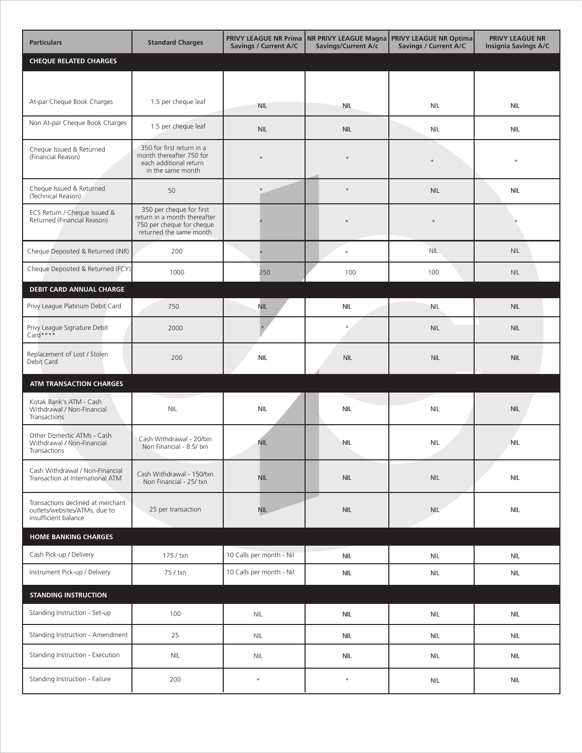| <b>Particulars</b>                                                                         | <b>Standard Charges</b>                                                                                          | <b>Savings / Current A/C</b> | PRIVY LEAGUE NR Prima NR PRIVY LEAGUE Magna<br>Savings/Current A/c | <b>PRIVY LEAGUE NR Optima</b><br>Savings / Current A/C | <b>PRIVY LEAGUE NR</b><br><b>Insignia Savings A/C</b> |
|--------------------------------------------------------------------------------------------|------------------------------------------------------------------------------------------------------------------|------------------------------|--------------------------------------------------------------------|--------------------------------------------------------|-------------------------------------------------------|
| <b>CHEQUE RELATED CHARGES</b>                                                              |                                                                                                                  |                              |                                                                    |                                                        |                                                       |
|                                                                                            |                                                                                                                  |                              |                                                                    |                                                        |                                                       |
| At-par Cheque Book Charges                                                                 | 1.5 per cheque leaf                                                                                              | <b>NIL</b>                   | <b>NIL</b>                                                         | <b>NIL</b>                                             | <b>NIL</b>                                            |
| Non At-par Cheque Book Charges                                                             | 1.5 per cheque leaf                                                                                              | <b>NIL</b>                   | <b>NIL</b>                                                         | <b>NIL</b>                                             | <b>NIL</b>                                            |
| Cheque Issued & Returned<br>(Financial Reason)                                             | 350 for first return in a<br>month thereafter 750 for<br>each additional return<br>in the same month             | $\star$                      | $\star$                                                            | $\star$                                                | $\star$                                               |
| Cheque Issued & Returned<br>(Technical Reason)                                             | 50                                                                                                               |                              | $\star$                                                            | <b>NIL</b>                                             | <b>NIL</b>                                            |
| ECS Return / Cheque Issued &<br>Returned (Financial Reason)                                | 350 per cheque for first<br>return in a month thereafter<br>750 per cheque for cheque<br>returned the same month |                              |                                                                    | $\star$                                                |                                                       |
| Cheque Deposited & Returned (INR)                                                          | 200                                                                                                              |                              | $\star$                                                            | <b>NIL</b>                                             | <b>NIL</b>                                            |
| Cheque Deposited & Returned (FCY)                                                          | 1000                                                                                                             | 250                          | 100                                                                | 100                                                    | <b>NIL</b>                                            |
| <b>DEBIT CARD ANNUAL CHARGE</b>                                                            |                                                                                                                  |                              |                                                                    |                                                        |                                                       |
| Privy League Platinum Debit Card                                                           | 750                                                                                                              | <b>NIL</b>                   | <b>NIL</b>                                                         | <b>NIL</b>                                             | <b>NIL</b>                                            |
| Privy League Signature Debit<br>$Card***$                                                  | 2000                                                                                                             |                              | $\star$                                                            | <b>NIL</b>                                             | <b>NIL</b>                                            |
| Replacement of Lost / Stolen<br>Debit Card                                                 | 200                                                                                                              | <b>NIL</b>                   | <b>NIL</b>                                                         | <b>NIL</b>                                             | <b>NIL</b>                                            |
| <b>ATM TRANSACTION CHARGES</b>                                                             |                                                                                                                  |                              |                                                                    |                                                        |                                                       |
| Kotak Bank's ATM - Cash<br>Withdrawal / Non-Financial<br>Transactions                      | <b>NIL</b>                                                                                                       | <b>NIL</b>                   | <b>NIL</b>                                                         | <b>NIL</b>                                             | <b>NIL</b>                                            |
| Other Domestic ATMs - Cash<br>Withdrawal / Non-Financial<br>Transactions                   | Cash Withdrawal - 20/txn<br>Non Financial - 8.5/txn                                                              | <b>NIL</b>                   | <b>NIL</b>                                                         | <b>NIL</b>                                             | <b>NIL</b>                                            |
| Cash Withdrawal / Non-Financial<br>Transaction at International ATM                        | Cash Withdrawal - 150/txn<br>Non Financial - 25/ txn                                                             | <b>NIL</b>                   | <b>NIL</b>                                                         | <b>NIL</b>                                             | <b>NIL</b>                                            |
| Transactions declined at merchant<br>outlets/websites/ATMs, due to<br>insufficient balance | 25 per transaction                                                                                               | <b>NIL</b>                   | <b>NIL</b>                                                         | <b>NIL</b>                                             | <b>NIL</b>                                            |
| <b>HOME BANKING CHARGES</b>                                                                |                                                                                                                  |                              |                                                                    |                                                        |                                                       |
| Cash Pick-up / Delivery                                                                    | 175 / txn                                                                                                        | 10 Calls per month - Nil     | <b>NIL</b>                                                         | <b>NIL</b>                                             | <b>NIL</b>                                            |
| Instrument Pick-up / Delivery                                                              | 75 / txn                                                                                                         | 10 Calls per month - Nil     | <b>NIL</b>                                                         | <b>NIL</b>                                             | <b>NIL</b>                                            |
| <b>STANDING INSTRUCTION</b>                                                                |                                                                                                                  |                              |                                                                    |                                                        |                                                       |
| Standing Instruction - Set-up                                                              | 100                                                                                                              | <b>NIL</b>                   | <b>NIL</b>                                                         | <b>NIL</b>                                             | <b>NIL</b>                                            |
| Standing Instruction - Amendment                                                           | 25                                                                                                               | <b>NIL</b>                   | <b>NIL</b>                                                         | <b>NIL</b>                                             | <b>NIL</b>                                            |
| Standing Instruction - Execution                                                           | <b>NIL</b>                                                                                                       | <b>NIL</b>                   | <b>NIL</b>                                                         | <b>NIL</b>                                             | <b>NIL</b>                                            |
| Standing Instruction - Failure                                                             | 200                                                                                                              | $\star$                      | $\star$                                                            | <b>NIL</b>                                             | <b>NIL</b>                                            |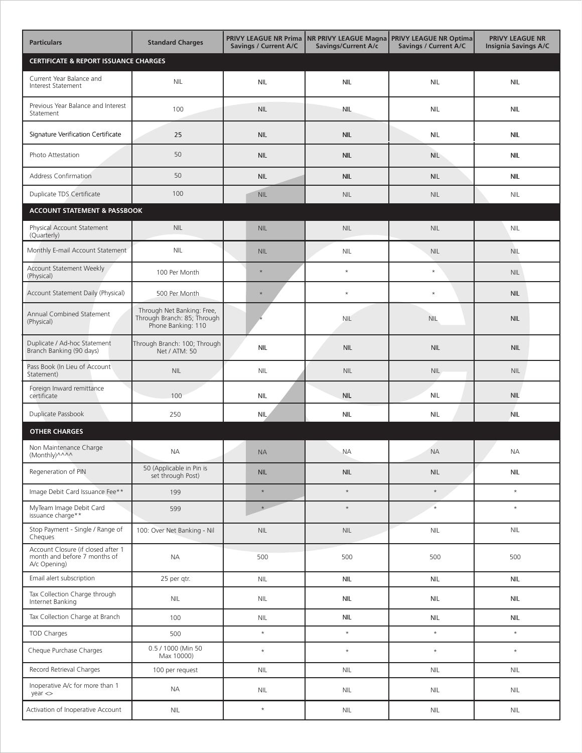| <b>Particulars</b>                                                                 | <b>Standard Charges</b>                                                         | <b>Savings / Current A/C</b> | Savings/Current A/c | PRIVY LEAGUE NR Prima NR PRIVY LEAGUE Magna PRIVY LEAGUE NR Optima<br>Savings / Current A/C | <b>PRIVY LEAGUE NR</b><br><b>Insignia Savings A/C</b> |
|------------------------------------------------------------------------------------|---------------------------------------------------------------------------------|------------------------------|---------------------|---------------------------------------------------------------------------------------------|-------------------------------------------------------|
| <b>CERTIFICATE &amp; REPORT ISSUANCE CHARGES</b>                                   |                                                                                 |                              |                     |                                                                                             |                                                       |
| Current Year Balance and<br>Interest Statement                                     | $\mathsf{NIL}$                                                                  | <b>NIL</b>                   | <b>NIL</b>          | <b>NIL</b>                                                                                  | <b>NIL</b>                                            |
| Previous Year Balance and Interest<br>Statement                                    | 100                                                                             | <b>NIL</b>                   | <b>NIL</b>          | <b>NIL</b>                                                                                  | <b>NIL</b>                                            |
| Signature Verification Certificate                                                 | 25                                                                              | <b>NIL</b>                   | <b>NIL</b>          | <b>NIL</b>                                                                                  | <b>NIL</b>                                            |
| Photo Attestation                                                                  | 50                                                                              | <b>NIL</b>                   | <b>NIL</b>          | <b>NIL</b>                                                                                  | <b>NIL</b>                                            |
| <b>Address Confirmation</b>                                                        | 50                                                                              | <b>NIL</b>                   | <b>NIL</b>          | <b>NIL</b>                                                                                  | <b>NIL</b>                                            |
| Duplicate TDS Certificate                                                          | 100                                                                             | NIL                          | <b>NIL</b>          | <b>NIL</b>                                                                                  | <b>NIL</b>                                            |
| <b>ACCOUNT STATEMENT &amp; PASSBOOK</b>                                            |                                                                                 |                              |                     |                                                                                             |                                                       |
| Physical Account Statement<br>(Quarterly)                                          | <b>NIL</b>                                                                      | <b>NIL</b>                   | <b>NIL</b>          | <b>NIL</b>                                                                                  | <b>NIL</b>                                            |
| Monthly E-mail Account Statement                                                   | <b>NIL</b>                                                                      | <b>NIL</b>                   | <b>NIL</b>          | <b>NIL</b>                                                                                  | <b>NIL</b>                                            |
| <b>Account Statement Weekly</b><br>(Physical)                                      | 100 Per Month                                                                   | $\star$                      | $\star$             | $\star$                                                                                     | <b>NIL</b>                                            |
| Account Statement Daily (Physical)                                                 | 500 Per Month                                                                   | $\star$                      | $\star$             | $\star$                                                                                     | <b>NIL</b>                                            |
| Annual Combined Statement<br>(Physical)                                            | Through Net Banking: Free,<br>Through Branch: 85; Through<br>Phone Banking: 110 |                              | <b>NIL</b>          | <b>NIL</b>                                                                                  | <b>NIL</b>                                            |
| Duplicate / Ad-hoc Statement<br>Branch Banking (90 days)                           | Through Branch: 100; Through<br>Net / ATM: 50                                   | <b>NIL</b>                   | <b>NIL</b>          | <b>NIL</b>                                                                                  | <b>NIL</b>                                            |
| Pass Book (In Lieu of Account<br>Statement)                                        | <b>NIL</b>                                                                      | <b>NIL</b>                   | <b>NIL</b>          | <b>NIL</b>                                                                                  | <b>NIL</b>                                            |
| Foreign Inward remittance<br>certificate                                           | 100                                                                             | <b>NIL</b>                   | <b>NIL</b>          | <b>NIL</b>                                                                                  | <b>NIL</b>                                            |
| Duplicate Passbook                                                                 | 250                                                                             | <b>NIL</b>                   | <b>NIL</b>          | <b>NIL</b>                                                                                  | <b>NIL</b>                                            |
| <b>OTHER CHARGES</b>                                                               |                                                                                 |                              |                     |                                                                                             |                                                       |
| Non Maintenance Charge<br>(Monthly)^^^^                                            | <b>NA</b>                                                                       | <b>NA</b>                    | <b>NA</b>           | <b>NA</b>                                                                                   | NА                                                    |
| Regeneration of PIN                                                                | 50 (Applicable in Pin is<br>set through Post)                                   | <b>NIL</b>                   | <b>NIL</b>          | <b>NIL</b>                                                                                  | <b>NIL</b>                                            |
| Image Debit Card Issuance Fee**                                                    | 199                                                                             | $\star$                      | $\star$             | $\star$                                                                                     | $\star$                                               |
| MyTeam Image Debit Card<br>issuance charge**                                       | 599                                                                             | $\star$                      | $\star$             | $\star$                                                                                     | $\star$                                               |
| Stop Payment - Single / Range of<br>Cheques                                        | 100: Over Net Banking - Nil                                                     | <b>NIL</b>                   | <b>NIL</b>          | <b>NIL</b>                                                                                  | <b>NIL</b>                                            |
| Account Closure (if closed after 1<br>month and before 7 months of<br>A/c Opening) | <b>NA</b>                                                                       | 500                          | 500                 | 500                                                                                         | 500                                                   |
| Email alert subscription                                                           | 25 per qtr.                                                                     | NIL                          | <b>NIL</b>          | <b>NIL</b>                                                                                  | <b>NIL</b>                                            |
| Tax Collection Charge through<br>Internet Banking                                  | <b>NIL</b>                                                                      | <b>NIL</b>                   | <b>NIL</b>          | <b>NIL</b>                                                                                  | <b>NIL</b>                                            |
| Tax Collection Charge at Branch                                                    | 100                                                                             | <b>NIL</b>                   | <b>NIL</b>          | <b>NIL</b>                                                                                  | <b>NIL</b>                                            |
| <b>TOD Charges</b>                                                                 | 500                                                                             | $\star$                      | $\star$             | $\star$                                                                                     | $\star$                                               |
| Cheque Purchase Charges                                                            | 0.5 / 1000 (Min 50<br>Max 10000)                                                | $\star$                      | $\star$             | $\star$                                                                                     | $\star$                                               |
| Record Retrieval Charges                                                           | 100 per request                                                                 | NIL                          | <b>NIL</b>          | <b>NIL</b>                                                                                  | $\mathsf{NIL}$                                        |
| Inoperative A/c for more than 1<br>year <                                          | <b>NA</b>                                                                       | <b>NIL</b>                   | <b>NIL</b>          | <b>NIL</b>                                                                                  | <b>NIL</b>                                            |
| Activation of Inoperative Account                                                  | <b>NIL</b>                                                                      | $\star$                      | <b>NIL</b>          | <b>NIL</b>                                                                                  | <b>NIL</b>                                            |